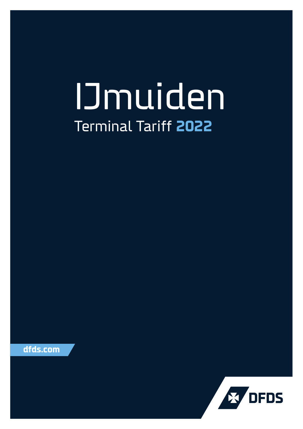# IJmuiden Terminal Tariff **2022**



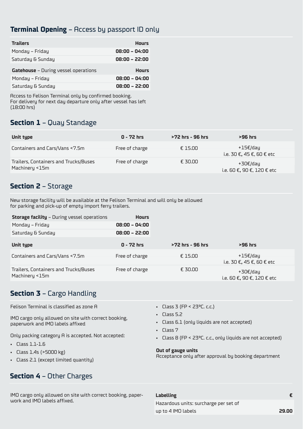#### **Terminal Opening** – Access by passport ID only

| <b>Trailers</b>                             | <b>Hours</b>    |
|---------------------------------------------|-----------------|
| Monday - Friday                             | $08:00 - 04:00$ |
| Saturdau & Sundau                           | $08:00 - 22:00$ |
| <b>Gatehouse</b> - During vessel operations | <b>Hours</b>    |
| Mondau - Fridau                             | $08:00 - 04:00$ |
| Saturdau & Sundau                           | $08:00 - 22:00$ |

Access to Felison Terminal only by confirmed booking. For delivery for next day departure only after vessel has left (18:00 hrs)

#### **Section 1** – Quay Standage

| Unit type                             | $0 - 72$ hrs   | >72 hrs - 96 hrs | >96 hrs                               |
|---------------------------------------|----------------|------------------|---------------------------------------|
| Containers and Cars/Vans <7.5m        | Free of charge | £15.00           | +15€/dau<br>i.e. 30 €, 45 €. 60 € etc |
| Trailers, Containers and Trucks/Buses | Free of charge | £ 30.00          | +30€/dau                              |
| Machineru <15m                        |                |                  | i.e. 60 €, 90 €, 120 € etc            |

#### **Section 2** – Storage

New storage facility will be available at the Felison Terminal and will only be allowed for parking and pick-up of empty import ferry trailers.

| <b>Storage facility - During vessel operations</b> | <b>Hours</b>    |                  |                                       |
|----------------------------------------------------|-----------------|------------------|---------------------------------------|
| Monday - Friday                                    | $08:00 - 04:00$ |                  |                                       |
| Saturday & Sunday                                  | $08:00 - 22:00$ |                  |                                       |
| Unit type                                          | $0 - 72$ hrs    | >72 hrs - 96 hrs | >96 hrs                               |
| Containers and Cars/Vans <7.5m                     | Free of charge  | £15.00           | +15€/dau<br>i.e. 30 €, 45 €, 60 € etc |
| Trailers, Containers and Trucks/Buses              | Free of charge  | € 30.00          | +30€/dau                              |
| Machinery <15m                                     |                 |                  | i.e. 60 €, 90 €, 120 € etc            |

## **Section 3** – Cargo Handling

Felison Terminal is classified as zone A

IMO cargo only allowed on site with correct booking, paperwork and IMO labels affixed

Only packing category A is accepted. Not accepted:

- Class 1.1-1.6
- Class 1.4s (>5000 kg)
- Class 2.1 (except limited quantity)

### **Section 4** – Other Charges

IMO cargo only allowed on site with correct booking, paperwork and IMO labels affixed.

- Class 3 (FP < 23ºC. c.c.)
- Class 5.2
- Class 6.1 (only liquids are not accepted)
- Class 7
- Class 8 (FP < 23ºC. c.c., only liquids are not accepted)

#### **Out of gauge units**

Acceptance only after approval by booking department

#### **Labelling €**

Hazardous units: surcharge per set of up to 4 IMO labels **29.00**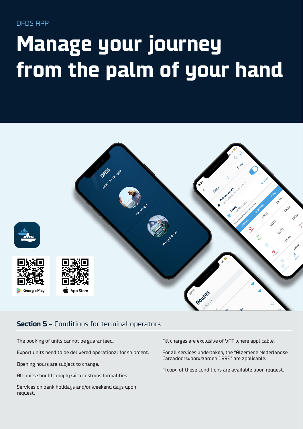DFDS APP

# **Manage your journey from the palm of your hand**



#### **Section 5** – Conditions for terminal operators

The booking of units cannot be guaranteed.

Export units need to be delivered operational for shipment.

Opening hours are subject to change.

All units should comply with customs formalities.

Services on bank holidays and/or weekend days upon request.

All charges are exclusive of VAT where applicable.

For all services undertaken, the "Algemene Nederlandse Cargadoorsvoorwaarden 1992" are applicable.

A copy of these conditions are available upon request.